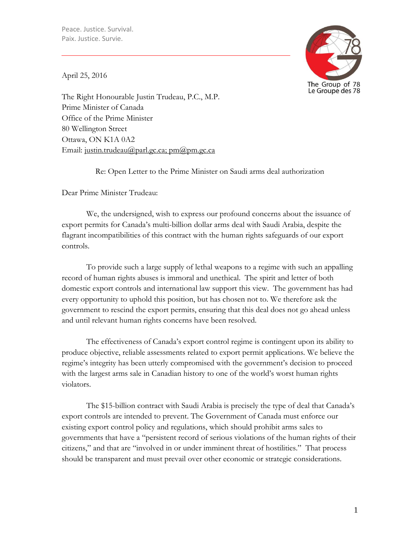

April 25, 2016

The Right Honourable Justin Trudeau, P.C., M.P. Prime Minister of Canada Office of the Prime Minister 80 Wellington Street Ottawa, ON K1A 0A2 Email: [justin.trudeau@parl.gc.ca;](mailto:justin.trudeau@parl.gc.ca) [pm@pm.gc.ca](mailto:pm@pm.gc.ca)

Re: Open Letter to the Prime Minister on Saudi arms deal authorization

Dear Prime Minister Trudeau:

We, the undersigned, wish to express our profound concerns about the issuance of export permits for Canada's multi-billion dollar arms deal with Saudi Arabia, despite the flagrant incompatibilities of this contract with the human rights safeguards of our export controls.

To provide such a large supply of lethal weapons to a regime with such an appalling record of human rights abuses is immoral and unethical. The spirit and letter of both domestic export controls and international law support this view. The government has had every opportunity to uphold this position, but has chosen not to. We therefore ask the government to rescind the export permits, ensuring that this deal does not go ahead unless and until relevant human rights concerns have been resolved.

The effectiveness of Canada's export control regime is contingent upon its ability to produce objective, reliable assessments related to export permit applications. We believe the regime's integrity has been utterly compromised with the government's decision to proceed with the largest arms sale in Canadian history to one of the world's worst human rights violators.

The \$15-billion contract with Saudi Arabia is precisely the type of deal that Canada's export controls are intended to prevent. The Government of Canada must enforce our existing export control policy and regulations, which should prohibit arms sales to governments that have a "persistent record of serious violations of the human rights of their citizens," and that are "involved in or under imminent threat of hostilities." That process should be transparent and must prevail over other economic or strategic considerations.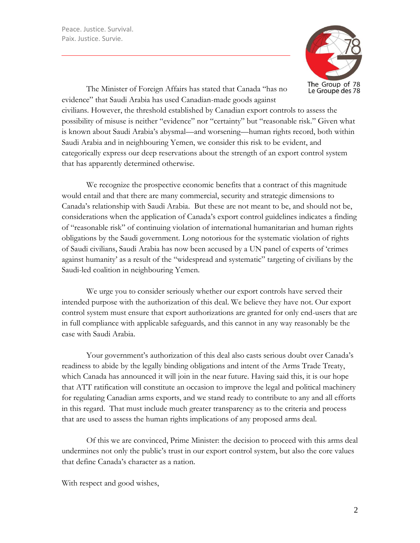

The Minister of Foreign Affairs has stated that Canada "has no evidence" that Saudi Arabia has used Canadian-made goods against

civilians. However, the threshold established by Canadian export controls to assess the possibility of misuse is neither "evidence" nor "certainty" but "reasonable risk." Given what is known about Saudi Arabia's abysmal—and worsening—human rights record, both within Saudi Arabia and in neighbouring Yemen, we consider this risk to be evident, and categorically express our deep reservations about the strength of an export control system that has apparently determined otherwise.

We recognize the prospective economic benefits that a contract of this magnitude would entail and that there are many commercial, security and strategic dimensions to Canada's relationship with Saudi Arabia. But these are not meant to be, and should not be, considerations when the application of Canada's export control guidelines indicates a finding of "reasonable risk" of continuing violation of international humanitarian and human rights obligations by the Saudi government. Long notorious for the systematic violation of rights of Saudi civilians, Saudi Arabia has now been accused by a UN panel of experts of 'crimes against humanity' as a result of the "widespread and systematic" targeting of civilians by the Saudi-led coalition in neighbouring Yemen.

We urge you to consider seriously whether our export controls have served their intended purpose with the authorization of this deal. We believe they have not. Our export control system must ensure that export authorizations are granted for only end-users that are in full compliance with applicable safeguards, and this cannot in any way reasonably be the case with Saudi Arabia.

Your government's authorization of this deal also casts serious doubt over Canada's readiness to abide by the legally binding obligations and intent of the Arms Trade Treaty, which Canada has announced it will join in the near future. Having said this, it is our hope that ATT ratification will constitute an occasion to improve the legal and political machinery for regulating Canadian arms exports, and we stand ready to contribute to any and all efforts in this regard. That must include much greater transparency as to the criteria and process that are used to assess the human rights implications of any proposed arms deal.

Of this we are convinced, Prime Minister: the decision to proceed with this arms deal undermines not only the public's trust in our export control system, but also the core values that define Canada's character as a nation.

With respect and good wishes,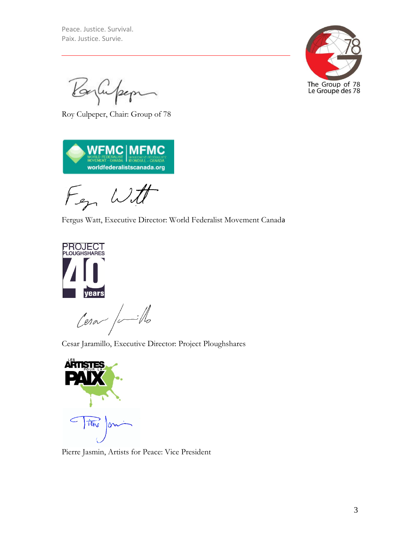

Baylinfer

Roy Culpeper, Chair: Group of 78



Fen Witt

Fergus Watt, Executive Director: World Federalist Movement Canada



Cesar Jaramillo, Executive Director: Project Ploughshares



Pierre Jasmin, Artists for Peace: Vice President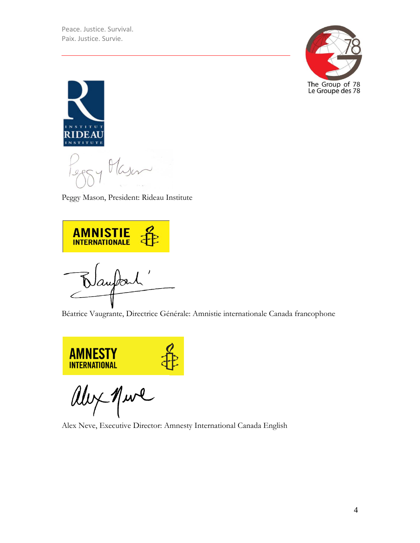



Peggy Mason, President: Rideau Institute

**AMNISTIE** autarl

Béatrice Vaugrante, Directrice Générale: Amnistie internationale Canada francophone



ally Mure

Alex Neve, Executive Director: Amnesty International Canada English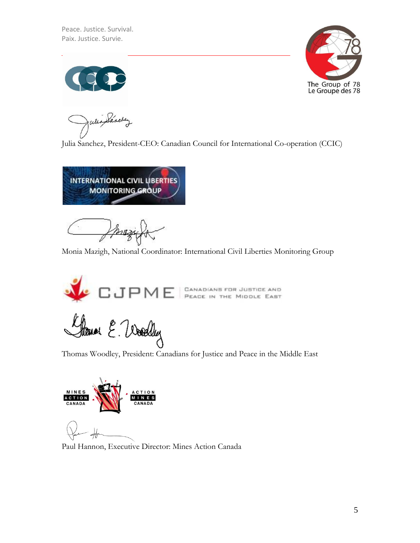

Julia Sánchez

Julia Sanchez, President-CEO: Canadian Council for International Co-operation (CCIC)



Monia Mazigh, National Coordinator: International Civil Liberties Monitoring Group



flower E. Woodby

Thomas Woodley, President: Canadians for Justice and Peace in the Middle East



Paul Hannon, Executive Director: Mines Action Canada